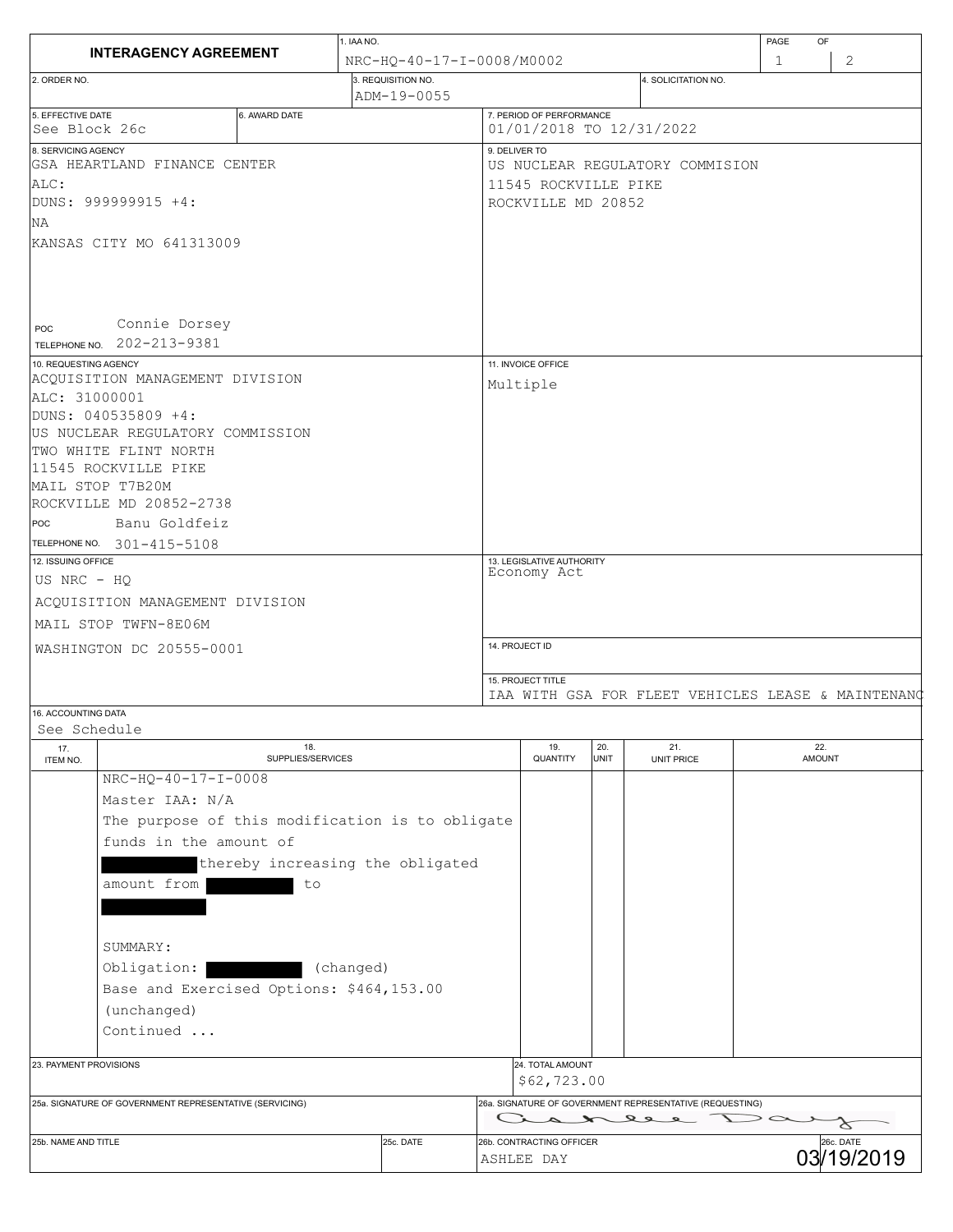|                                                                                                                                                                                                                                         |                                                     |                           |                                                  | PAGE<br>OF         |                                                                     |                      |   |  |
|-----------------------------------------------------------------------------------------------------------------------------------------------------------------------------------------------------------------------------------------|-----------------------------------------------------|---------------------------|--------------------------------------------------|--------------------|---------------------------------------------------------------------|----------------------|---|--|
| <b>INTERAGENCY AGREEMENT</b>                                                                                                                                                                                                            |                                                     | NRC-HO-40-17-I-0008/M0002 |                                                  |                    |                                                                     |                      | 2 |  |
| 2. ORDER NO.                                                                                                                                                                                                                            | 3. REQUISITION NO.<br>ADM-19-0055                   |                           |                                                  |                    | 4. SOLICITATION NO.                                                 |                      |   |  |
| 5. EFFECTIVE DATE<br>6. AWARD DATE<br> See Block 26c                                                                                                                                                                                    |                                                     |                           | 7. PERIOD OF PERFORMANCE                         |                    | 01/01/2018 TO 12/31/2022                                            |                      |   |  |
| 8. SERVICING AGENCY<br>GSA HEARTLAND FINANCE CENTER                                                                                                                                                                                     |                                                     |                           | 9. DELIVER TO<br>US NUCLEAR REGULATORY COMMISION |                    |                                                                     |                      |   |  |
| ALC:<br>DUNS: 999999915 +4:<br>NA.                                                                                                                                                                                                      |                                                     |                           | 11545 ROCKVILLE PIKE<br>ROCKVILLE MD 20852       |                    |                                                                     |                      |   |  |
| KANSAS CITY MO 641313009                                                                                                                                                                                                                |                                                     |                           |                                                  |                    |                                                                     |                      |   |  |
| Connie Dorsey<br>POC<br>TELEPHONE NO. 202-213-9381                                                                                                                                                                                      |                                                     |                           |                                                  |                    |                                                                     |                      |   |  |
| 10. REQUESTING AGENCY<br>ACQUISITION MANAGEMENT DIVISION                                                                                                                                                                                |                                                     |                           | 11. INVOICE OFFICE                               |                    |                                                                     |                      |   |  |
| ALC: 31000001<br>DUNS: 040535809 +4:<br>US NUCLEAR REGULATORY COMMISSION<br>TWO WHITE FLINT NORTH<br>11545 ROCKVILLE PIKE<br>MAIL STOP T7B20M<br>ROCKVILLE MD 20852-2738<br>Banu Goldfeiz<br>POC<br>TELEPHONE NO. 301-415-5108          |                                                     | Multiple                  |                                                  |                    |                                                                     |                      |   |  |
| 12. ISSUING OFFICE                                                                                                                                                                                                                      |                                                     |                           | 13. LEGISLATIVE AUTHORITY<br>Economy Act         |                    |                                                                     |                      |   |  |
|                                                                                                                                                                                                                                         |                                                     |                           |                                                  |                    |                                                                     |                      |   |  |
| US NRC - HQ                                                                                                                                                                                                                             |                                                     |                           |                                                  |                    |                                                                     |                      |   |  |
| ACQUISITION MANAGEMENT DIVISION<br>MAIL STOP TWFN-8E06M                                                                                                                                                                                 |                                                     |                           |                                                  |                    |                                                                     |                      |   |  |
| WASHINGTON DC 20555-0001                                                                                                                                                                                                                |                                                     | 14. PROJECT ID            |                                                  |                    |                                                                     |                      |   |  |
|                                                                                                                                                                                                                                         |                                                     |                           | 15. PROJECT TITLE                                |                    | IAA WITH GSA FOR FLEET VEHICLES LEASE & MAINTENANG                  |                      |   |  |
| 16. ACCOUNTING DATA<br>See Schedule                                                                                                                                                                                                     |                                                     |                           |                                                  |                    |                                                                     |                      |   |  |
| 17.<br>ITEM NO.                                                                                                                                                                                                                         | 18.<br>SUPPLIES/SERVICES                            |                           | 19.<br>QUANTITY                                  | 20.<br><b>UNIT</b> | 21.<br>UNIT PRICE                                                   | 22.<br><b>AMOUNT</b> |   |  |
| NRC-HQ-40-17-I-0008<br>Master IAA: N/A<br>The purpose of this modification is to obligate<br>funds in the amount of<br>amount from<br>SUMMARY:<br>Obligation:  <br>Base and Exercised Options: \$464,153.00<br>(unchanged)<br>Continued | thereby increasing the obligated<br>to<br>(changed) |                           |                                                  |                    |                                                                     |                      |   |  |
| 23. PAYMENT PROVISIONS                                                                                                                                                                                                                  |                                                     |                           | 24. TOTAL AMOUNT<br>\$62,723.00                  |                    |                                                                     |                      |   |  |
| 25a. SIGNATURE OF GOVERNMENT REPRESENTATIVE (SERVICING)                                                                                                                                                                                 |                                                     |                           |                                                  |                    | 26a. SIGNATURE OF GOVERNMENT REPRESENTATIVE (REQUESTING)<br>aaneee- |                      |   |  |